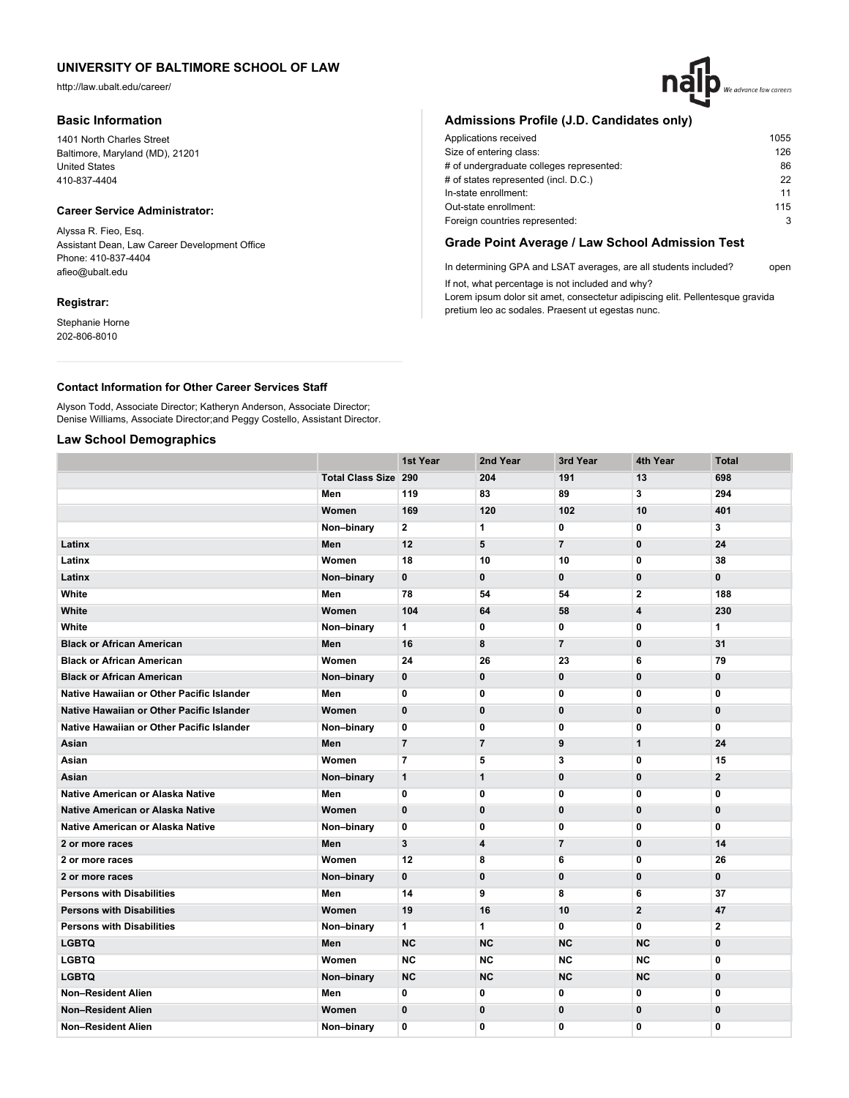http://law.ubalt.edu/career/

### **Basic Information**

1401 North Charles Street Baltimore, Maryland (MD), 21201 United States 410-837-4404

### **Career Service Administrator:**

Alyssa R. Fieo, Esq. Assistant Dean, Law Career Development Office Phone: 410-837-4404 afieo@ubalt.edu

#### **Registrar:**

Stephanie Horne 202-806-8010

## **Admissions Profile (J.D. Candidates only)**

| Applications received                    | 1055 |
|------------------------------------------|------|
| Size of entering class:                  | 126  |
| # of undergraduate colleges represented: | 86   |
| # of states represented (incl. D.C.)     | 22   |
| In-state enrollment:                     | 11   |
| Out-state enrollment:                    | 115  |
| Foreign countries represented:           | 3    |
|                                          |      |

## **Grade Point Average / Law School Admission Test**

In determining GPA and LSAT averages, are all students included? open If not, what percentage is not included and why?

Lorem ipsum dolor sit amet, consectetur adipiscing elit. Pellentesque gravida pretium leo ac sodales. Praesent ut egestas nunc.

### **Contact Information for Other Career Services Staff**

Alyson Todd, Associate Director; Katheryn Anderson, Associate Director; Denise Williams, Associate Director;and Peggy Costello, Assistant Director.

## **Law School Demographics**

|                                           |                             | 1st Year       | 2nd Year       | 3rd Year       | 4th Year                | <b>Total</b>   |
|-------------------------------------------|-----------------------------|----------------|----------------|----------------|-------------------------|----------------|
|                                           | <b>Total Class Size 290</b> |                | 204            | 191            | 13                      | 698            |
|                                           | Men                         | 119            | 83             | 89             | 3                       | 294            |
|                                           | Women                       | 169            | 120            | 102            | 10                      | 401            |
|                                           | Non-binary                  | $\overline{2}$ | $\mathbf{1}$   | $\mathbf{0}$   | $\mathbf 0$             | 3              |
| Latinx                                    | Men                         | 12             | 5              | $\overline{7}$ | $\pmb{0}$               | 24             |
| Latinx                                    | Women                       | 18             | 10             | 10             | 0                       | 38             |
| Latinx                                    | Non-binary                  | 0              | $\mathbf 0$    | $\mathbf{0}$   | $\mathbf 0$             | 0              |
| White                                     | Men                         | 78             | 54             | 54             | $\mathbf{2}$            | 188            |
| White                                     | Women                       | 104            | 64             | 58             | $\overline{\mathbf{4}}$ | 230            |
| White                                     | Non-binary                  | 1              | 0              | 0              | 0                       | $\mathbf{1}$   |
| <b>Black or African American</b>          | Men                         | 16             | 8              | $\overline{7}$ | $\mathbf 0$             | 31             |
| <b>Black or African American</b>          | Women                       | 24             | 26             | 23             | 6                       | 79             |
| <b>Black or African American</b>          | Non-binary                  | 0              | $\mathbf 0$    | $\mathbf{0}$   | $\mathbf 0$             | 0              |
| Native Hawaiian or Other Pacific Islander | Men                         | 0              | 0              | 0              | 0                       | $\bf{0}$       |
| Native Hawaiian or Other Pacific Islander | Women                       | $\mathbf 0$    | $\bf{0}$       | 0              | $\mathbf 0$             | 0              |
| Native Hawaiian or Other Pacific Islander | Non-binary                  | 0              | $\mathbf 0$    | 0              | $\mathbf 0$             | 0              |
| Asian                                     | Men                         | $\overline{7}$ | $\overline{7}$ | 9              | $\mathbf{1}$            | 24             |
| Asian                                     | Women                       | $\overline{7}$ | 5              | 3              | 0                       | 15             |
| Asian                                     | Non-binary                  | $\mathbf{1}$   | $\mathbf{1}$   | 0              | 0                       | $\overline{2}$ |
| <b>Native American or Alaska Native</b>   | Men                         | 0              | 0              | 0              | 0                       | 0              |
| <b>Native American or Alaska Native</b>   | Women                       | 0              | $\mathbf 0$    | $\mathbf{0}$   | $\mathbf 0$             | $\mathbf{0}$   |
| Native American or Alaska Native          | Non-binary                  | 0              | 0              | 0              | $\mathbf 0$             | $\overline{0}$ |
| 2 or more races                           | Men                         | 3              | 4              | $\overline{7}$ | $\mathbf 0$             | 14             |
| 2 or more races                           | Women                       | 12             | 8              | 6              | $\mathbf 0$             | 26             |
| 2 or more races                           | Non-binary                  | $\mathbf{0}$   | $\bf{0}$       | $\mathbf 0$    | $\mathbf 0$             | 0              |
| <b>Persons with Disabilities</b>          | Men                         | 14             | 9              | 8              | 6                       | 37             |
| <b>Persons with Disabilities</b>          | Women                       | 19             | 16             | 10             | $\mathbf{2}$            | 47             |
| <b>Persons with Disabilities</b>          | Non-binary                  | 1              | 1              | 0              | $\mathbf{0}$            | 2              |
| <b>LGBTQ</b>                              | Men                         | <b>NC</b>      | <b>NC</b>      | <b>NC</b>      | <b>NC</b>               | 0              |
| <b>LGBTQ</b>                              | Women                       | <b>NC</b>      | <b>NC</b>      | <b>NC</b>      | <b>NC</b>               | 0              |
| <b>LGBTQ</b>                              | Non-binary                  | <b>NC</b>      | <b>NC</b>      | <b>NC</b>      | <b>NC</b>               | $\bf{0}$       |
| <b>Non-Resident Alien</b>                 | Men                         | 0              | 0              | 0              | $\mathbf 0$             | 0              |
| <b>Non-Resident Alien</b>                 | Women                       | 0              | $\mathbf 0$    | $\mathbf 0$    | $\mathbf 0$             | $\bf{0}$       |
| <b>Non-Resident Alien</b>                 | Non-binary                  | 0              | 0              | 0              | 0                       | 0              |
|                                           |                             |                |                |                |                         |                |

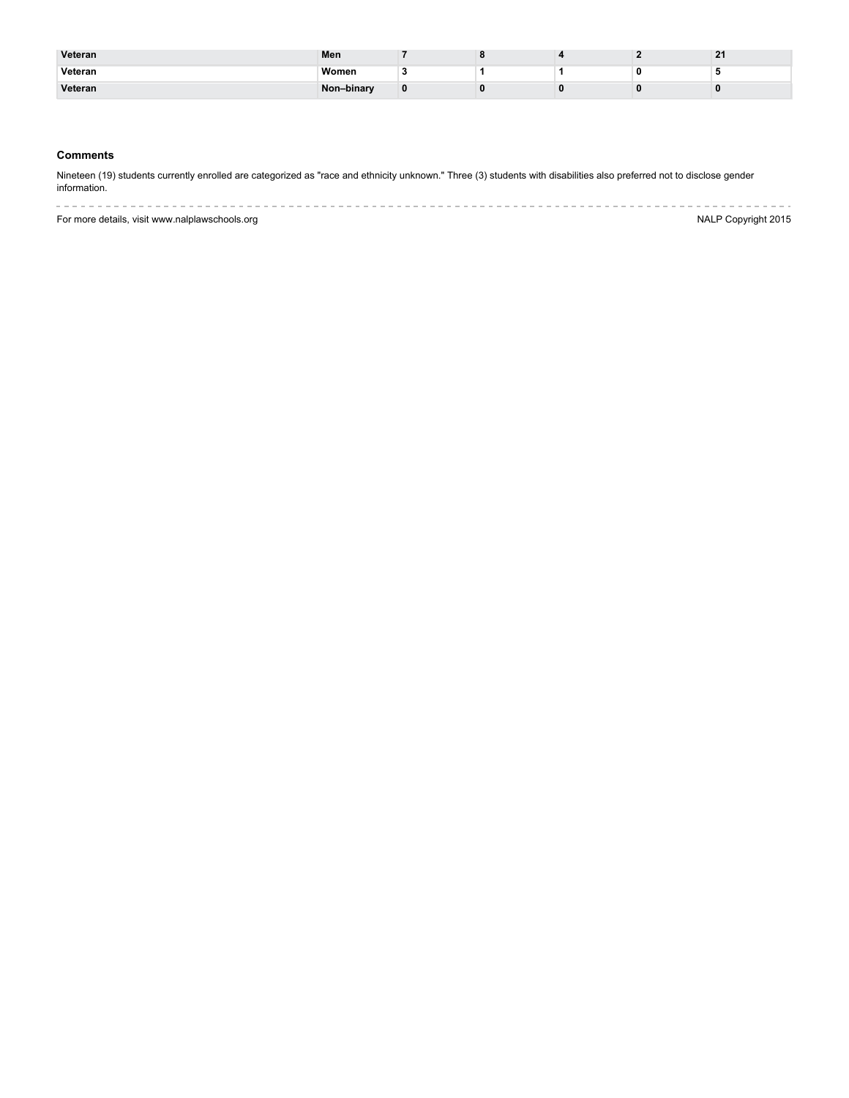| Veteran | Men        |   |  | $\sim$ 1 |
|---------|------------|---|--|----------|
| Veteran | Women      |   |  |          |
| Veteran | Non-binary | o |  |          |

## **Comments**

Nineteen (19) students currently enrolled are categorized as "race and ethnicity unknown." Three (3) students with disabilities also preferred not to disclose gender information.

--------------------------For more details, visit www.nalplawschools.org NALP Copyright 2015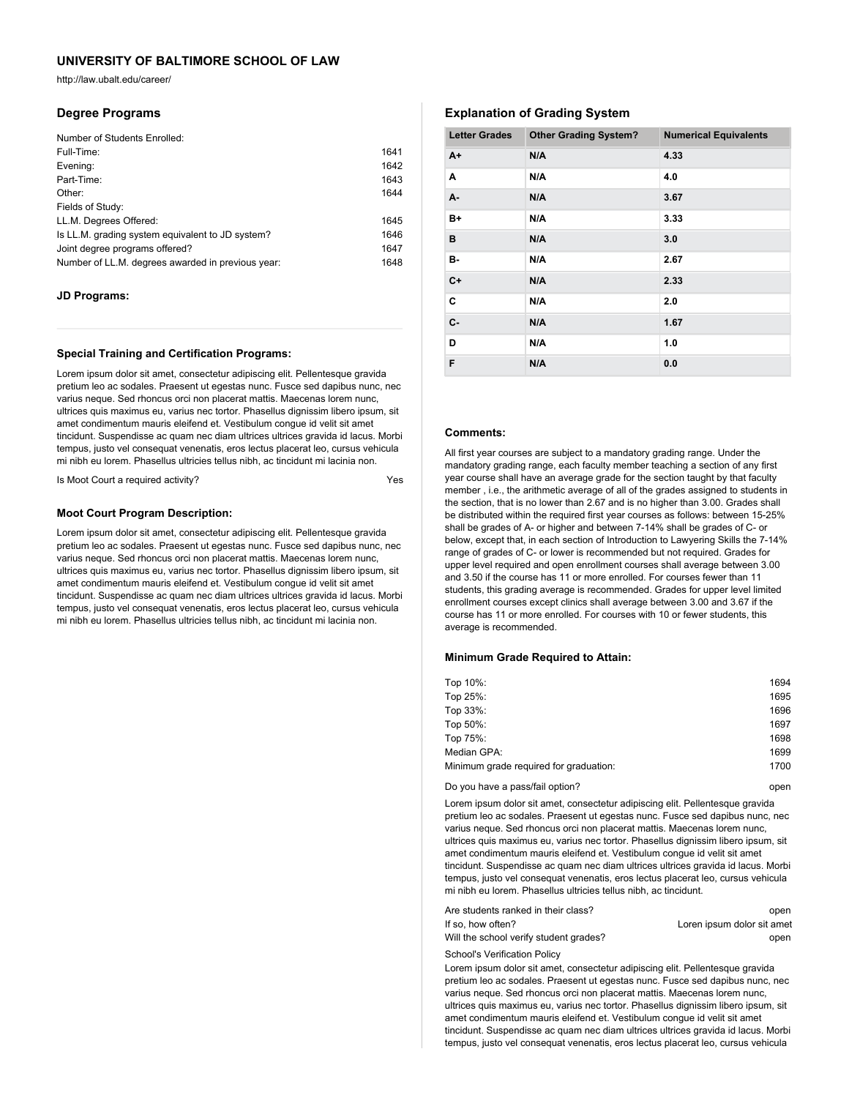http://law.ubalt.edu/career/

### **Degree Programs**

| Number of Students Enrolled:                      |      |
|---------------------------------------------------|------|
| Full-Time:                                        | 1641 |
| Evening:                                          | 1642 |
| Part-Time:                                        | 1643 |
| Other:                                            | 1644 |
| Fields of Study:                                  |      |
| LL.M. Degrees Offered:                            | 1645 |
| Is LL.M. grading system equivalent to JD system?  | 1646 |
| Joint degree programs offered?                    | 1647 |
| Number of LL.M. degrees awarded in previous year: | 1648 |

### **JD Programs:**

### **Special Training and Certification Programs:**

Lorem ipsum dolor sit amet, consectetur adipiscing elit. Pellentesque gravida pretium leo ac sodales. Praesent ut egestas nunc. Fusce sed dapibus nunc, nec varius neque. Sed rhoncus orci non placerat mattis. Maecenas lorem nunc, ultrices quis maximus eu, varius nec tortor. Phasellus dignissim libero ipsum, sit amet condimentum mauris eleifend et. Vestibulum congue id velit sit amet tincidunt. Suspendisse ac quam nec diam ultrices ultrices gravida id lacus. Morbi tempus, justo vel consequat venenatis, eros lectus placerat leo, cursus vehicula mi nibh eu lorem. Phasellus ultricies tellus nibh, ac tincidunt mi lacinia non.

Is Moot Court a required activity?

### **Moot Court Program Description:**

Lorem ipsum dolor sit amet, consectetur adipiscing elit. Pellentesque gravida pretium leo ac sodales. Praesent ut egestas nunc. Fusce sed dapibus nunc, nec varius neque. Sed rhoncus orci non placerat mattis. Maecenas lorem nunc, ultrices quis maximus eu, varius nec tortor. Phasellus dignissim libero ipsum, sit amet condimentum mauris eleifend et. Vestibulum congue id velit sit amet tincidunt. Suspendisse ac quam nec diam ultrices ultrices gravida id lacus. Morbi tempus, justo vel consequat venenatis, eros lectus placerat leo, cursus vehicula mi nibh eu lorem. Phasellus ultricies tellus nibh, ac tincidunt mi lacinia non.

## **Explanation of Grading System**

| <b>Letter Grades</b> | <b>Other Grading System?</b> | <b>Numerical Equivalents</b> |
|----------------------|------------------------------|------------------------------|
| $A+$                 | N/A                          | 4.33                         |
| A                    | N/A                          | 4.0                          |
| A-                   | N/A                          | 3.67                         |
| B+                   | N/A                          | 3.33                         |
| в                    | N/A                          | 3.0                          |
| в-                   | N/A                          | 2.67                         |
| $C+$                 | N/A                          | 2.33                         |
| C                    | N/A                          | 2.0                          |
| C-                   | N/A                          | 1.67                         |
| D                    | N/A                          | 1.0                          |
| F                    | N/A                          | 0.0                          |

## **Comments:**

All first year courses are subject to a mandatory grading range. Under the mandatory grading range, each faculty member teaching a section of any first year course shall have an average grade for the section taught by that faculty member , i.e., the arithmetic average of all of the grades assigned to students in the section, that is no lower than 2.67 and is no higher than 3.00. Grades shall be distributed within the required first year courses as follows: between 15-25% shall be grades of A- or higher and between 7-14% shall be grades of C- or below, except that, in each section of Introduction to Lawyering Skills the 7-14% range of grades of C- or lower is recommended but not required. Grades for upper level required and open enrollment courses shall average between 3.00 and 3.50 if the course has 11 or more enrolled. For courses fewer than 11 students, this grading average is recommended. Grades for upper level limited enrollment courses except clinics shall average between 3.00 and 3.67 if the course has 11 or more enrolled. For courses with 10 or fewer students, this average is recommended.

#### **Minimum Grade Required to Attain:**

| Top 10%:                               | 1694 |
|----------------------------------------|------|
| Top 25%:                               | 1695 |
| Top 33%:                               | 1696 |
| Top 50%:                               | 1697 |
| Top 75%:                               | 1698 |
| Median GPA:                            | 1699 |
| Minimum grade required for graduation: | 1700 |

Do you have a pass/fail option? The state of the state of the state of the state of the state of the state of the state of the state of the state of the state of the state of the state of the state of the state of the stat

Lorem ipsum dolor sit amet, consectetur adipiscing elit. Pellentesque gravida pretium leo ac sodales. Praesent ut egestas nunc. Fusce sed dapibus nunc, nec varius neque. Sed rhoncus orci non placerat mattis. Maecenas lorem nunc, ultrices quis maximus eu, varius nec tortor. Phasellus dignissim libero ipsum, sit amet condimentum mauris eleifend et. Vestibulum congue id velit sit amet tincidunt. Suspendisse ac quam nec diam ultrices ultrices gravida id lacus. Morbi tempus, justo vel consequat venenatis, eros lectus placerat leo, cursus vehicula mi nibh eu lorem. Phasellus ultricies tellus nibh, ac tincidunt.

| Are students ranked in their class?    | open                       |
|----------------------------------------|----------------------------|
| If so. how often?                      | Loren ipsum dolor sit amet |
| Will the school verify student grades? | open                       |

School's Verification Policy

Lorem ipsum dolor sit amet, consectetur adipiscing elit. Pellentesque gravida pretium leo ac sodales. Praesent ut egestas nunc. Fusce sed dapibus nunc, nec varius neque. Sed rhoncus orci non placerat mattis. Maecenas lorem nunc, ultrices quis maximus eu, varius nec tortor. Phasellus dignissim libero ipsum, sit amet condimentum mauris eleifend et. Vestibulum congue id velit sit amet tincidunt. Suspendisse ac quam nec diam ultrices ultrices gravida id lacus. Morbi tempus, justo vel consequat venenatis, eros lectus placerat leo, cursus vehicula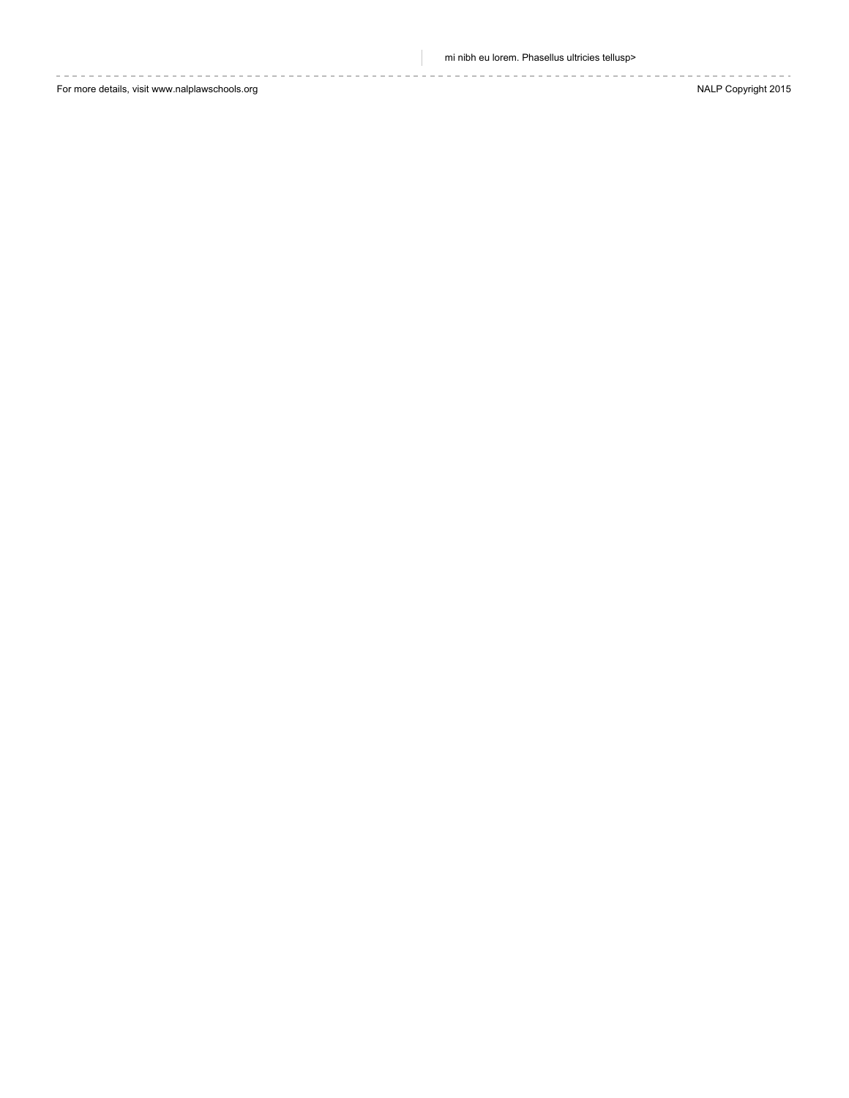mi nibh eu lorem. Phasellus ultricies tellusp>

For more details, visit www.nalplawschools.org **NALP Copyright 2015**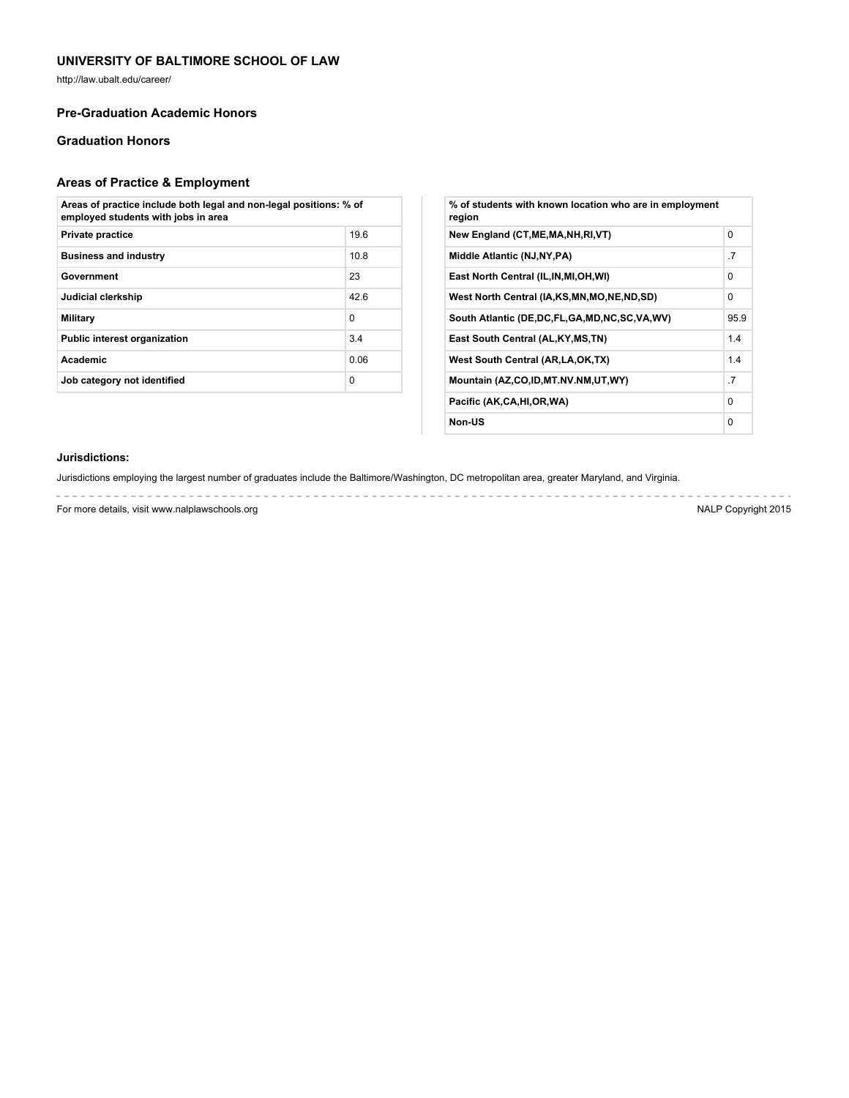http://law.ubalt.edu/career/

## **Pre-Graduation Academic Honors**

## **Graduation Honors**

# **Areas of Practice & Employment**

| Areas of practice include both legal and non-legal positions: % of<br>employed students with jobs in area |          |  |
|-----------------------------------------------------------------------------------------------------------|----------|--|
| <b>Private practice</b>                                                                                   | 19.6     |  |
| <b>Business and industry</b>                                                                              | 10.8     |  |
| Government                                                                                                | 23       |  |
| Judicial clerkship                                                                                        | 426      |  |
| Military                                                                                                  | $\Omega$ |  |
| <b>Public interest organization</b>                                                                       | 3.4      |  |
| <b>Academic</b>                                                                                           | 0.06     |  |
| Job category not identified                                                                               | $\Omega$ |  |

| % of students with known location who are in employment<br>region |          |
|-------------------------------------------------------------------|----------|
| New England (CT, ME, MA, NH, RI, VT)                              | $\Omega$ |
| Middle Atlantic (NJ, NY, PA)                                      | .7       |
| East North Central (IL, IN, MI, OH, WI)                           | $\Omega$ |
| West North Central (IA,KS,MN,MO,NE,ND,SD)                         | 0        |
| South Atlantic (DE, DC, FL, GA, MD, NC, SC, VA, WV)               | 95.9     |
| East South Central (AL, KY, MS, TN)                               | 1.4      |
| West South Central (AR, LA, OK, TX)                               | 1.4      |
| Mountain (AZ,CO,ID,MT.NV.NM,UT,WY)                                | .7       |
| Pacific (AK,CA,HI,OR,WA)                                          | $\Omega$ |
| Non-US                                                            | 0        |

### **Jurisdictions:**

Jurisdictions employing the largest number of graduates include the Baltimore/Washington, DC metropolitan area, greater Maryland, and Virginia.

For more details, visit www.nalplawschools.org NALP Copyright 2015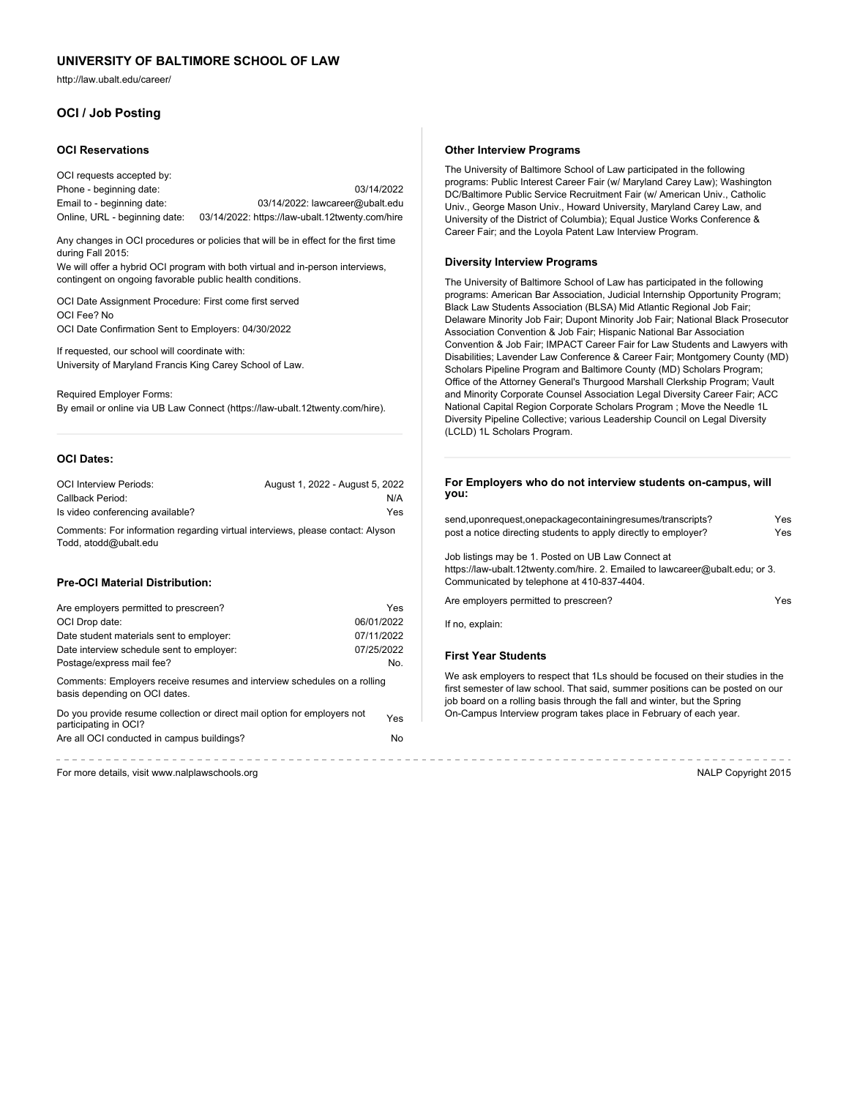http://law.ubalt.edu/career/

## **OCI / Job Posting**

#### **OCI Reservations**

| OCI requests accepted by:     |                                                 |
|-------------------------------|-------------------------------------------------|
| Phone - beginning date:       | 03/14/2022                                      |
| Email to - beginning date:    | 03/14/2022: lawcareer@ubalt.edu                 |
| Online, URL - beginning date: | 03/14/2022: https://law-ubalt.12twenty.com/hire |

Any changes in OCI procedures or policies that will be in effect for the first time during Fall 2015:

We will offer a hybrid OCI program with both virtual and in-person interviews, contingent on ongoing favorable public health conditions.

OCI Date Assignment Procedure: First come first served OCI Fee? No OCI Date Confirmation Sent to Employers: 04/30/2022

If requested, our school will coordinate with: University of Maryland Francis King Carey School of Law.

Required Employer Forms: By email or online via UB Law Connect (https://law-ubalt.12twenty.com/hire).

## **OCI Dates:**

| <b>OCI Interview Periods:</b>    | August 1, 2022 - August 5, 2022 |
|----------------------------------|---------------------------------|
| Callback Period:                 | N/A                             |
| Is video conferencing available? | Yes                             |

Comments: For information regarding virtual interviews, please contact: Alyson Todd, atodd@ubalt.edu

### **Pre-OCI Material Distribution:**

| Are employers permitted to prescreen?                                                                     |            | Ale e                    |
|-----------------------------------------------------------------------------------------------------------|------------|--------------------------|
| OCI Drop date:                                                                                            | 06/01/2022 | If no,                   |
| Date student materials sent to employer:                                                                  | 07/11/2022 |                          |
| Date interview schedule sent to employer:                                                                 | 07/25/2022 | <b>First</b>             |
| Postage/express mail fee?                                                                                 | No.        |                          |
| Comments: Employers receive resumes and interview schedules on a rolling<br>basis depending on OCI dates. |            | We a<br>first s<br>job b |
| Do you provide resume collection or direct mail option for employers not<br>participating in OCI?         | Yes        | $On-C$                   |
| Are all OCI conducted in campus buildings?                                                                | No         |                          |
|                                                                                                           |            |                          |

For more details, visit www.nalplawschools.org NALP Copyright 2015

#### **Other Interview Programs**

The University of Baltimore School of Law participated in the following programs: Public Interest Career Fair (w/ Maryland Carey Law); Washington DC/Baltimore Public Service Recruitment Fair (w/ American Univ., Catholic Univ., George Mason Univ., Howard University, Maryland Carey Law, and University of the District of Columbia); Equal Justice Works Conference & Career Fair; and the Loyola Patent Law Interview Program.

#### **Diversity Interview Programs**

The University of Baltimore School of Law has participated in the following programs: American Bar Association, Judicial Internship Opportunity Program; Black Law Students Association (BLSA) Mid Atlantic Regional Job Fair; Delaware Minority Job Fair; Dupont Minority Job Fair; National Black Prosecutor Association Convention & Job Fair; Hispanic National Bar Association Convention & Job Fair; IMPACT Career Fair for Law Students and Lawyers with Disabilities; Lavender Law Conference & Career Fair; Montgomery County (MD) Scholars Pipeline Program and Baltimore County (MD) Scholars Program; Office of the Attorney General's Thurgood Marshall Clerkship Program; Vault and Minority Corporate Counsel Association Legal Diversity Career Fair; ACC National Capital Region Corporate Scholars Program ; Move the Needle 1L Diversity Pipeline Collective; various Leadership Council on Legal Diversity (LCLD) 1L Scholars Program.

### **For Employers who do not interview students on-campus, will you:**

| send, upon request, one package containing resumes/transcripts?                                                                                                                   | Yes  |
|-----------------------------------------------------------------------------------------------------------------------------------------------------------------------------------|------|
| post a notice directing students to apply directly to employer?                                                                                                                   | Yes  |
| Job listings may be 1. Posted on UB Law Connect at<br>https://law-ubalt.12twenty.com/hire. 2. Emailed to lawcareer@ubalt.edu; or 3.<br>Communicated by telephone at 410-837-4404. |      |
| Are employers permitted to prescreen?                                                                                                                                             | Yes. |
| If no, explain:                                                                                                                                                                   |      |

### **First Year Students**

We ask employers to respect that 1Ls should be focused on their studies in the first semester of law school. That said, summer positions can be posted on our job board on a rolling basis through the fall and winter, but the Spring On-Campus Interview program takes place in February of each year.

----------------